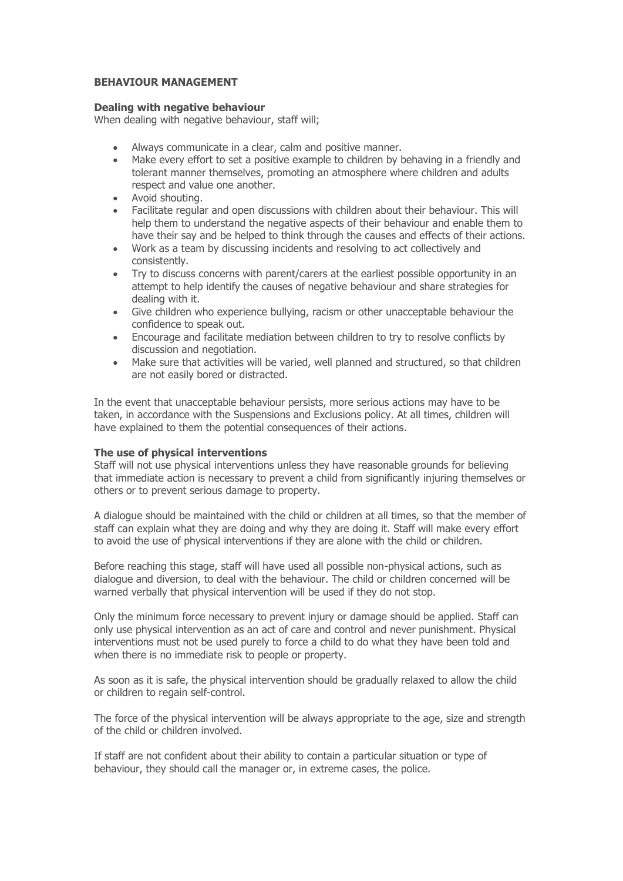# **BEHAVIOUR MANAGEMENT**

#### **Dealing with negative behaviour**

When dealing with negative behaviour, staff will;

- Always communicate in a clear, calm and positive manner.
- Make every effort to set a positive example to children by behaving in a friendly and tolerant manner themselves, promoting an atmosphere where children and adults respect and value one another.
- Avoid shouting.
- Facilitate regular and open discussions with children about their behaviour. This will help them to understand the negative aspects of their behaviour and enable them to have their say and be helped to think through the causes and effects of their actions.
- Work as a team by discussing incidents and resolving to act collectively and consistently.
- Try to discuss concerns with parent/carers at the earliest possible opportunity in an attempt to help identify the causes of negative behaviour and share strategies for dealing with it.
- Give children who experience bullying, racism or other unacceptable behaviour the confidence to speak out.
- Encourage and facilitate mediation between children to try to resolve conflicts by discussion and negotiation.
- Make sure that activities will be varied, well planned and structured, so that children are not easily bored or distracted.

In the event that unacceptable behaviour persists, more serious actions may have to be taken, in accordance with the Suspensions and Exclusions policy. At all times, children will have explained to them the potential consequences of their actions.

# **The use of physical interventions**

Staff will not use physical interventions unless they have reasonable grounds for believing that immediate action is necessary to prevent a child from significantly injuring themselves or others or to prevent serious damage to property.

A dialogue should be maintained with the child or children at all times, so that the member of staff can explain what they are doing and why they are doing it. Staff will make every effort to avoid the use of physical interventions if they are alone with the child or children.

Before reaching this stage, staff will have used all possible non-physical actions, such as dialogue and diversion, to deal with the behaviour. The child or children concerned will be warned verbally that physical intervention will be used if they do not stop.

Only the minimum force necessary to prevent injury or damage should be applied. Staff can only use physical intervention as an act of care and control and never punishment. Physical interventions must not be used purely to force a child to do what they have been told and when there is no immediate risk to people or property.

As soon as it is safe, the physical intervention should be gradually relaxed to allow the child or children to regain self-control.

The force of the physical intervention will be always appropriate to the age, size and strength of the child or children involved.

If staff are not confident about their ability to contain a particular situation or type of behaviour, they should call the manager or, in extreme cases, the police.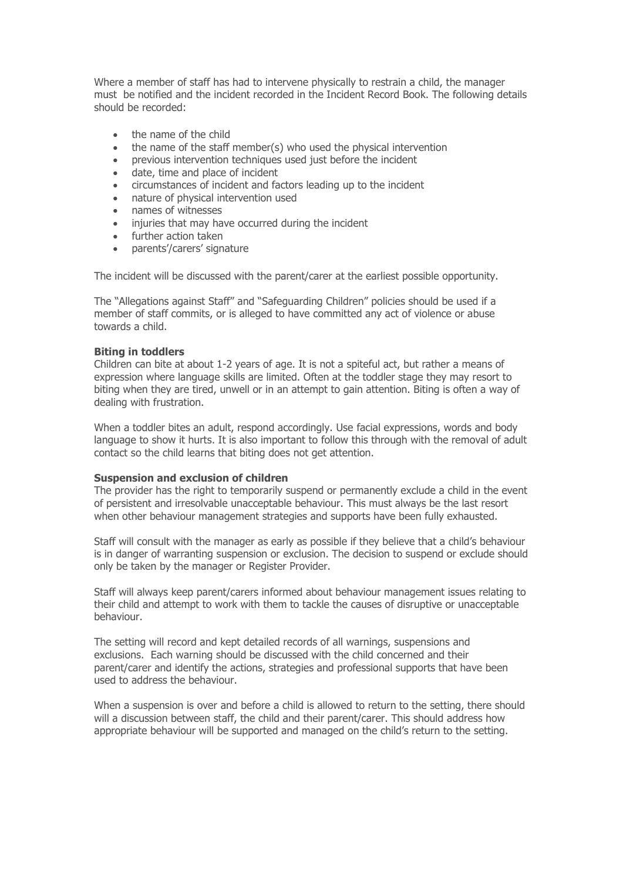Where a member of staff has had to intervene physically to restrain a child, the manager must be notified and the incident recorded in the Incident Record Book. The following details should be recorded:

- . the name of the child
- the name of the staff member(s) who used the physical intervention
- previous intervention techniques used just before the incident
- date, time and place of incident
- circumstances of incident and factors leading up to the incident
- nature of physical intervention used
- names of witnesses
- injuries that may have occurred during the incident
- further action taken
- parents'/carers' signature

The incident will be discussed with the parent/carer at the earliest possible opportunity.

The "Allegations against Staff" and "Safeguarding Children" policies should be used if a member of staff commits, or is alleged to have committed any act of violence or abuse towards a child.

## **Biting in toddlers**

Children can bite at about 1-2 years of age. It is not a spiteful act, but rather a means of expression where language skills are limited. Often at the toddler stage they may resort to biting when they are tired, unwell or in an attempt to gain attention. Biting is often a way of dealing with frustration.

When a toddler bites an adult, respond accordingly. Use facial expressions, words and body language to show it hurts. It is also important to follow this through with the removal of adult contact so the child learns that biting does not get attention.

#### **Suspension and exclusion of children**

The provider has the right to temporarily suspend or permanently exclude a child in the event of persistent and irresolvable unacceptable behaviour. This must always be the last resort when other behaviour management strategies and supports have been fully exhausted.

Staff will consult with the manager as early as possible if they believe that a child's behaviour is in danger of warranting suspension or exclusion. The decision to suspend or exclude should only be taken by the manager or Register Provider.

Staff will always keep parent/carers informed about behaviour management issues relating to their child and attempt to work with them to tackle the causes of disruptive or unacceptable behaviour.

The setting will record and kept detailed records of all warnings, suspensions and exclusions. Each warning should be discussed with the child concerned and their parent/carer and identify the actions, strategies and professional supports that have been used to address the behaviour.

When a suspension is over and before a child is allowed to return to the setting, there should will a discussion between staff, the child and their parent/carer. This should address how appropriate behaviour will be supported and managed on the child's return to the setting.